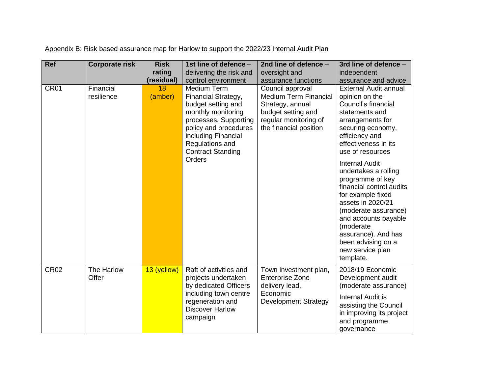| <b>Ref</b>       | <b>Corporate risk</b>   | <b>Risk</b>   | 1st line of defence -                                                                                                                                                                                            | 2nd line of defence -                                                                                                                         | 3rd line of defence -                                                                                                                                                                                                                           |
|------------------|-------------------------|---------------|------------------------------------------------------------------------------------------------------------------------------------------------------------------------------------------------------------------|-----------------------------------------------------------------------------------------------------------------------------------------------|-------------------------------------------------------------------------------------------------------------------------------------------------------------------------------------------------------------------------------------------------|
|                  |                         | rating        | delivering the risk and                                                                                                                                                                                          | oversight and                                                                                                                                 | independent                                                                                                                                                                                                                                     |
|                  |                         | (residual)    | control environment                                                                                                                                                                                              | assurance functions                                                                                                                           | assurance and advice                                                                                                                                                                                                                            |
| CR <sub>01</sub> | Financial<br>resilience | 18<br>(amber) | Medium Term<br>Financial Strategy,<br>budget setting and<br>monthly monitoring<br>processes. Supporting<br>policy and procedures<br>including Financial<br>Regulations and<br><b>Contract Standing</b><br>Orders | Council approval<br><b>Medium Term Financial</b><br>Strategy, annual<br>budget setting and<br>regular monitoring of<br>the financial position | <b>External Audit annual</b><br>opinion on the<br>Council's financial<br>statements and<br>arrangements for<br>securing economy,<br>efficiency and<br>effectiveness in its<br>use of resources<br><b>Internal Audit</b><br>undertakes a rolling |
|                  |                         |               |                                                                                                                                                                                                                  |                                                                                                                                               | programme of key<br>financial control audits<br>for example fixed<br>assets in 2020/21<br>(moderate assurance)<br>and accounts payable<br>(moderate<br>assurance). And has<br>been advising on a<br>new service plan<br>template.               |
| <b>CR02</b>      | The Harlow<br>Offer     | 13 (yellow)   | Raft of activities and<br>projects undertaken<br>by dedicated Officers<br>including town centre<br>regeneration and<br><b>Discover Harlow</b><br>campaign                                                        | Town investment plan,<br><b>Enterprise Zone</b><br>delivery lead,<br>Economic<br><b>Development Strategy</b>                                  | 2018/19 Economic<br>Development audit<br>(moderate assurance)<br>Internal Audit is<br>assisting the Council<br>in improving its project<br>and programme<br>governance                                                                          |

Appendix B: Risk based assurance map for Harlow to support the 2022/23 Internal Audit Plan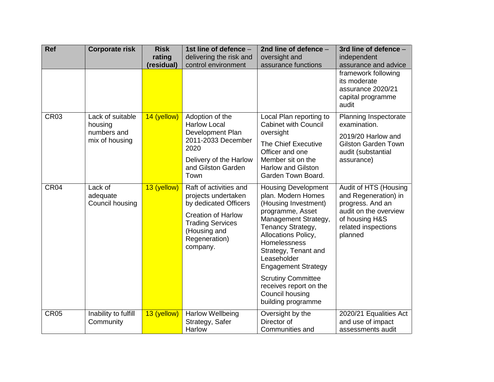| <b>Ref</b>  | <b>Corporate risk</b>                                        | <b>Risk</b><br>rating<br>(residual) | 1st line of defence -<br>delivering the risk and<br>control environment                                                                                                     | 2nd line of defence -<br>oversight and<br>assurance functions                                                                                                                                                                                                                                                                                         | 3rd line of defence -<br>independent<br>assurance and advice<br>framework following                                                            |
|-------------|--------------------------------------------------------------|-------------------------------------|-----------------------------------------------------------------------------------------------------------------------------------------------------------------------------|-------------------------------------------------------------------------------------------------------------------------------------------------------------------------------------------------------------------------------------------------------------------------------------------------------------------------------------------------------|------------------------------------------------------------------------------------------------------------------------------------------------|
|             |                                                              |                                     |                                                                                                                                                                             |                                                                                                                                                                                                                                                                                                                                                       | its moderate<br>assurance 2020/21<br>capital programme<br>audit                                                                                |
| <b>CR03</b> | Lack of suitable<br>housing<br>numbers and<br>mix of housing | 14 (yellow)                         | Adoption of the<br><b>Harlow Local</b><br>Development Plan<br>2011-2033 December<br>2020<br>Delivery of the Harlow<br>and Gilston Garden<br>Town                            | Local Plan reporting to<br><b>Cabinet with Council</b><br>oversight<br>The Chief Executive<br>Officer and one<br>Member sit on the<br><b>Harlow and Gilston</b><br>Garden Town Board.                                                                                                                                                                 | Planning Inspectorate<br>examination.<br>2019/20 Harlow and<br><b>Gilston Garden Town</b><br>audit (substantial<br>assurance)                  |
| CR04        | Lack of<br>adequate<br>Council housing                       | 13 (yellow)                         | Raft of activities and<br>projects undertaken<br>by dedicated Officers<br><b>Creation of Harlow</b><br><b>Trading Services</b><br>(Housing and<br>Regeneration)<br>company. | <b>Housing Development</b><br>plan. Modern Homes<br>(Housing Investment)<br>programme, Asset<br>Management Strategy,<br>Tenancy Strategy,<br>Allocations Policy,<br>Homelessness<br>Strategy, Tenant and<br>Leaseholder<br><b>Engagement Strategy</b><br><b>Scrutiny Committee</b><br>receives report on the<br>Council housing<br>building programme | Audit of HTS (Housing<br>and Regeneration) in<br>progress. And an<br>audit on the overview<br>of housing H&S<br>related inspections<br>planned |
| <b>CR05</b> | Inability to fulfill<br>Community                            | 13 (yellow)                         | <b>Harlow Wellbeing</b><br>Strategy, Safer<br>Harlow                                                                                                                        | Oversight by the<br>Director of<br>Communities and                                                                                                                                                                                                                                                                                                    | 2020/21 Equalities Act<br>and use of impact<br>assessments audit                                                                               |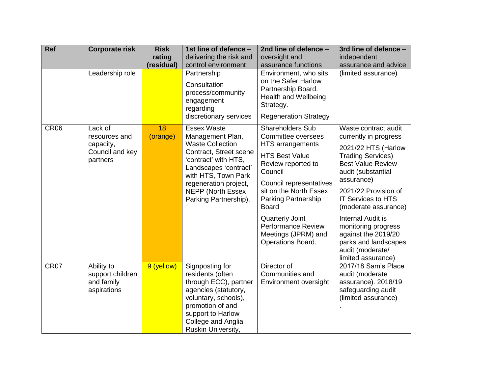| <b>Ref</b>       | <b>Corporate risk</b>                                                | <b>Risk</b><br>rating | 1st line of defence -<br>delivering the risk and                                                                                                                                                                                                   | 2nd line of defence -<br>oversight and                                                                                                                                                                                                                                                                                            | 3rd line of defence -<br>independent                                                                                                                                                                                                                                                                                                                                               |
|------------------|----------------------------------------------------------------------|-----------------------|----------------------------------------------------------------------------------------------------------------------------------------------------------------------------------------------------------------------------------------------------|-----------------------------------------------------------------------------------------------------------------------------------------------------------------------------------------------------------------------------------------------------------------------------------------------------------------------------------|------------------------------------------------------------------------------------------------------------------------------------------------------------------------------------------------------------------------------------------------------------------------------------------------------------------------------------------------------------------------------------|
|                  |                                                                      | (residual)            | control environment                                                                                                                                                                                                                                | assurance functions                                                                                                                                                                                                                                                                                                               | assurance and advice                                                                                                                                                                                                                                                                                                                                                               |
|                  | Leadership role                                                      |                       | Partnership<br>Consultation<br>process/community<br>engagement<br>regarding<br>discretionary services                                                                                                                                              | Environment, who sits<br>on the Safer Harlow<br>Partnership Board.<br>Health and Wellbeing<br>Strategy.<br><b>Regeneration Strategy</b>                                                                                                                                                                                           | (limited assurance)                                                                                                                                                                                                                                                                                                                                                                |
| CR <sub>06</sub> | Lack of<br>resources and<br>capacity,<br>Council and key<br>partners | 18<br>(orange)        | <b>Essex Waste</b><br>Management Plan,<br><b>Waste Collection</b><br>Contract, Street scene<br>'contract' with HTS,<br>Landscapes 'contract'<br>with HTS, Town Park<br>regeneration project,<br><b>NEPP (North Essex)</b><br>Parking Partnership). | <b>Shareholders Sub</b><br>Committee oversees<br><b>HTS</b> arrangements<br><b>HTS Best Value</b><br>Review reported to<br>Council<br>Council representatives<br>sit on the North Essex<br>Parking Partnership<br><b>Board</b><br><b>Quarterly Joint</b><br><b>Performance Review</b><br>Meetings (JPRM) and<br>Operations Board. | Waste contract audit<br>currently in progress<br>2021/22 HTS (Harlow<br><b>Trading Services)</b><br><b>Best Value Review</b><br>audit (substantial<br>assurance)<br>2021/22 Provision of<br><b>IT Services to HTS</b><br>(moderate assurance)<br>Internal Audit is<br>monitoring progress<br>against the 2019/20<br>parks and landscapes<br>audit (moderate/<br>limited assurance) |
| CR07             | Ability to<br>support children<br>and family<br>aspirations          | 9 (yellow)            | Signposting for<br>residents (often<br>through ECC), partner<br>agencies (statutory,<br>voluntary, schools),<br>promotion of and<br>support to Harlow<br>College and Anglia<br>Ruskin University,                                                  | Director of<br>Communities and<br>Environment oversight                                                                                                                                                                                                                                                                           | 2017/18 Sam's Place<br>audit (moderate<br>assurance). 2018/19<br>safeguarding audit<br>(limited assurance)                                                                                                                                                                                                                                                                         |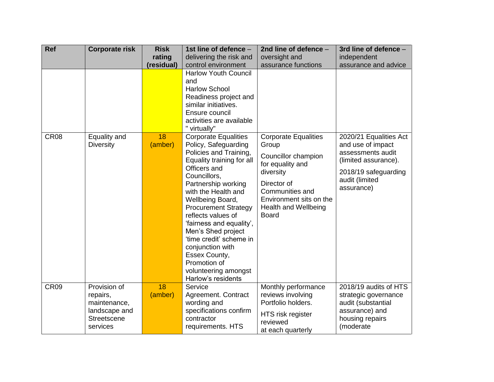| <b>Ref</b>       | <b>Corporate risk</b>                                                                | <b>Risk</b>   | 1st line of defence -                                                                                                                                                                                                                                                                                                                                                                                                                             | 2nd line of defence -                                                                                                                                                                             | 3rd line of defence -                                                                                                                            |
|------------------|--------------------------------------------------------------------------------------|---------------|---------------------------------------------------------------------------------------------------------------------------------------------------------------------------------------------------------------------------------------------------------------------------------------------------------------------------------------------------------------------------------------------------------------------------------------------------|---------------------------------------------------------------------------------------------------------------------------------------------------------------------------------------------------|--------------------------------------------------------------------------------------------------------------------------------------------------|
|                  |                                                                                      | rating        | delivering the risk and                                                                                                                                                                                                                                                                                                                                                                                                                           | oversight and                                                                                                                                                                                     | independent                                                                                                                                      |
|                  |                                                                                      | (residual)    | control environment                                                                                                                                                                                                                                                                                                                                                                                                                               | assurance functions                                                                                                                                                                               | assurance and advice                                                                                                                             |
|                  |                                                                                      |               | <b>Harlow Youth Council</b><br>and<br><b>Harlow School</b><br>Readiness project and<br>similar initiatives.<br>Ensure council<br>activities are available<br>" virtually"                                                                                                                                                                                                                                                                         |                                                                                                                                                                                                   |                                                                                                                                                  |
| <b>CR08</b>      | Equality and<br><b>Diversity</b>                                                     | 18<br>(amber) | <b>Corporate Equalities</b><br>Policy, Safeguarding<br>Policies and Training,<br>Equality training for all<br>Officers and<br>Councillors,<br>Partnership working<br>with the Health and<br>Wellbeing Board,<br><b>Procurement Strategy</b><br>reflects values of<br>'fairness and equality',<br>Men's Shed project<br>'time credit' scheme in<br>conjunction with<br>Essex County,<br>Promotion of<br>volunteering amongst<br>Harlow's residents | <b>Corporate Equalities</b><br>Group<br>Councillor champion<br>for equality and<br>diversity<br>Director of<br>Communities and<br>Environment sits on the<br>Health and Wellbeing<br><b>Board</b> | 2020/21 Equalities Act<br>and use of impact<br>assessments audit<br>(limited assurance).<br>2018/19 safeguarding<br>audit (limited<br>assurance) |
| CR <sub>09</sub> | Provision of<br>repairs,<br>maintenance,<br>landscape and<br>Streetscene<br>services | 18<br>(amber) | Service<br>Agreement. Contract<br>wording and<br>specifications confirm<br>contractor<br>requirements. HTS                                                                                                                                                                                                                                                                                                                                        | Monthly performance<br>reviews involving<br>Portfolio holders.<br>HTS risk register<br>reviewed<br>at each quarterly                                                                              | 2018/19 audits of HTS<br>strategic governance<br>audit (substantial<br>assurance) and<br>housing repairs<br>(moderate                            |